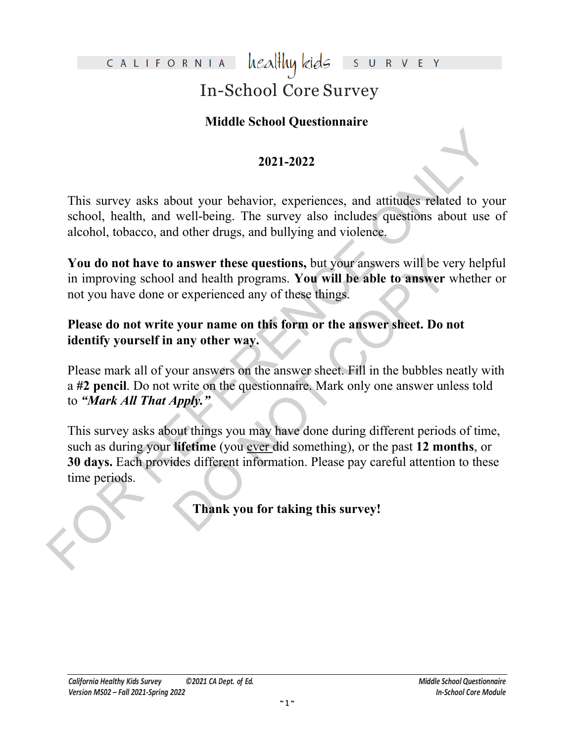### healthy kids CALIFORNIA

# In-School Core Survey

## **Middle School Questionnaire**

## **2021-2022**

This survey asks about your behavior, experiences, and attitudes related to your school, health, and well-being. The survey also includes questions about use of alcohol, tobacco, and other drugs, and bullying and violence.

**You do not have to answer these questions,** but your answers will be very helpful in improving school and health programs. **You will be able to answer** whether or not you have done or experienced any of these things.

**Please do not write your name on this form or the answer sheet. Do not identify yourself in any other way.**

Please mark all of your answers on the answer sheet. Fill in the bubbles neatly with a **#2 pencil**. Do not write on the questionnaire. Mark only one answer unless told to *"Mark All That Apply."*

2021-2022<br>
2021-2022<br>
2021-2022<br>
This survey asks about your behavior, experiences, and attitudes related to you<br>
school, health, and well-being. The survey also includes questions about use of<br>
alcohol, tobacco, and othe answer these questions, but your answers will be ver-<br>
and health programs. You will be able to answer will rever-<br>
or experienced any of these things.<br>
your name on this form or the answer sheet. Do no<br>
any other way.<br>
ou This survey asks about things you may have done during different periods of time, such as during your **lifetime** (you ever did something), or the past **12 months**, or **30 days.** Each provides different information. Please pay careful attention to these time periods.

**Thank you for taking this survey!**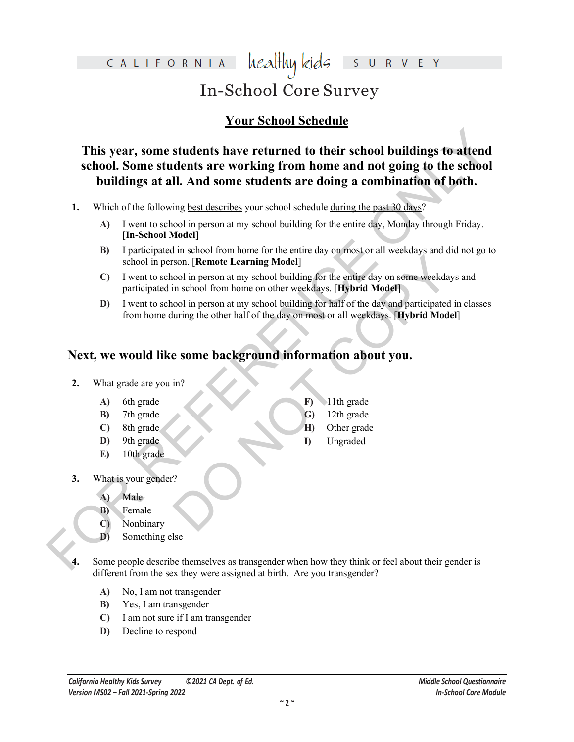### healthy kids CALIFORNIA E In-School Core Survey

## **Your School Schedule**

This year, some students have returned to their school buildings to attend<br>school. Some students are working from home and not going to the school<br>buildings at all. And some students are doing a combination of both.<br>1. Wh **This year, some students have returned to their school buildings to attend school. Some students are working from home and not going to the school buildings at all. And some students are doing a combination of both.**

- **1.** Which of the following best describes your school schedule during the past 30 days?
	- **A)** I went to school in person at my school building for the entire day, Monday through Friday. [**In-School Model**]
	- **B)** I participated in school from home for the entire day on most or all weekdays and did not go to school in person. [**Remote Learning Model**]
	- Son. [Remote Learning Model]<br>
	Son. [Remote Learning Model]<br>
	in school from home on other weekdays. [Hybrid Model]<br>
	ool in person at my school building for half of the day and participated in<br>
	uring the other half of the da **C)** I went to school in person at my school building for the entire day on some weekdays and participated in school from home on other weekdays. [**Hybrid Model**]
	- **D)** I went to school in person at my school building for half of the day and participated in classes from home during the other half of the day on most or all weekdays. [**Hybrid Model**]

**F)** 11th grade **G)** 12th grade **H)** Other grade **I)** Ungraded

# **Next, we would like some background information about you.**

- **2.** What grade are you in?
	- **A)** 6th grade
	- **B)** 7th grade
	- **C)** 8th grade
	- **D)** 9th grade
	- **E)** 10th grade
- **3.** What is your gender?
	- **A)** Male
	- **B)** Female
	- **C)** Nonbinary
	- **D)** Something else
- Some people describe themselves as transgender when how they think or feel about their gender is different from the sex they were assigned at birth. Are you transgender?
	- **A)** No, I am not transgender
	- **B)** Yes, I am transgender
	- **C)** I am not sure if I am transgender
	- **D)** Decline to respond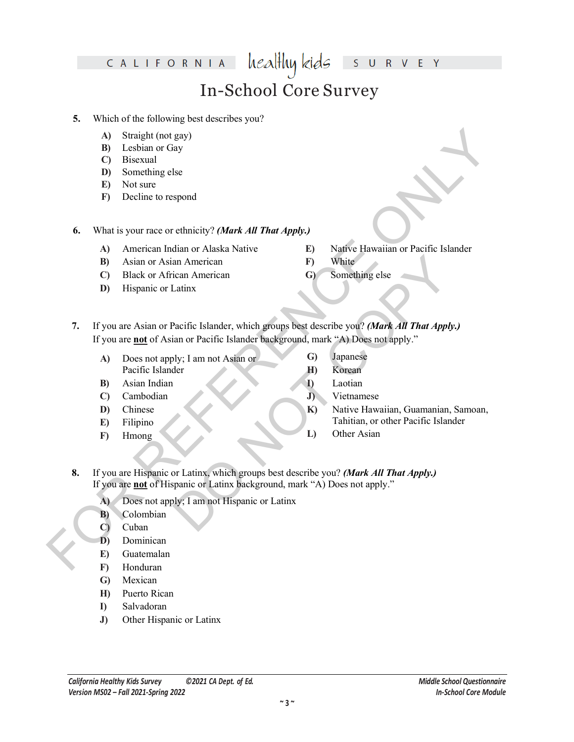#### healthy kids CALIFORNIA  $\overline{\mathsf{S}}$  $\mathsf R$ V E In-School Core Survey

### **5.** Which of the following best describes you?

- **A)** Straight (not gay)
- **B)** Lesbian or Gay
- **C)** Bisexual
- **D)** Something else
- **E)** Not sure
- **F)** Decline to respond

**6.** What is your race or ethnicity? *(Mark All That Apply.)*

- **A)** American Indian or Alaska Native
- **B)** Asian or Asian American
- **C)** Black or African American
- **D)** Hispanic or Latinx
- **E)** Native Hawaiian or Pacific Islander
- **F)** White
- **G)** Something else
- A) Straight (not gey)<br>
(B) Leisbuan or Gay<br>
(D) Bosneuling else<br>
(B) Not state<br>
(B) Not state<br>
(B) Something else<br>
(B) Not state<br>
(B) Not state<br>
(B) And contain or Alside Native (B) Native Hawaiian or Pacific Islander<br>
(C an American<br>
Converting else<br>
Latinx<br>
Converting else<br>
Latinx<br>
Pacific Islander, which groups best describe you? (Mark All That Apply.)<br>
Dos not apply."<br>
Dustan or Converting and Signamese<br>
How Everan<br>
Dustan University Ro **7.** If you are Asian or Pacific Islander, which groups best describe you? *(Mark All That Apply.)*  If you are **not** of Asian or Pacific Islander background, mark "A) Does not apply."
	- **A)** Does not apply; I am not Asian or Pacific Islander
	- **B)** Asian Indian
	- **C)** Cambodian
	- **D)** Chinese
	- **E)** Filipino
	- **F)** Hmong
- **G)** Japanese
- **H)** Korean
- **I)** Laotian
	- **J)** Vietnamese
	- **K)** Native Hawaiian, Guamanian, Samoan, Tahitian, or other Pacific Islander
	- **L)** Other Asian
- **8.** If you are Hispanic or Latinx, which groups best describe you? *(Mark All That Apply.)*  If you are **not** of Hispanic or Latinx background, mark "A) Does not apply."
	- **A)** Does not apply; I am not Hispanic or Latinx
	- **B)** Colombian
	- **C)** Cuban
	- **D)** Dominican
	- **E)** Guatemalan
	- **F)** Honduran
	- **G)** Mexican
	- **H)** Puerto Rican
	- **I)** Salvadoran
	- **J)** Other Hispanic or Latinx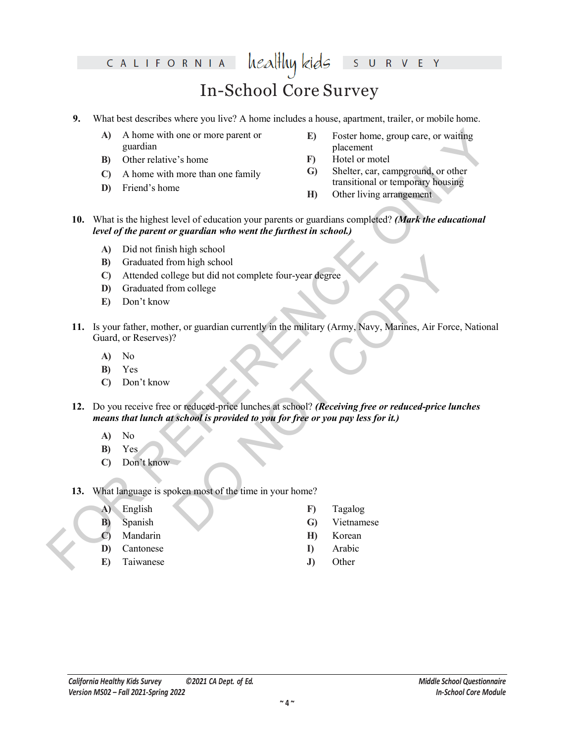#### healthy kids CALIFORNIA V E Y  $\mathsf{S}$  $\cup$  $\overline{\mathsf{R}}$ In-School Core Survey

### **9.** What best describes where you live? A home includes a house, apartment, trailer, or mobile home.

- **A)** A home with one or more parent or guardian
- **B)** Other relative's home
- **C)** A home with more than one family
- **D)** Friend's home
- **E)** Foster home, group care, or waiting placement
- **F)** Hotel or motel
- **G)** Shelter, car, campground, or other transitional or temporary housing
- **H)** Other living arrangement
- **10.** What is the highest level of education your parents or guardians completed? *(Mark the educational level of the parent or guardian who went the furthest in school.)*
	- **A)** Did not finish high school
	- **B)** Graduated from high school
	- **C)** Attended college but did not complete four-year degree
	- **D)** Graduated from college
	- **E)** Don't know
- A) A home with one or more parent or<br>
B other relative's home<br>
B other relative's home<br>
C) Sheller, car, compared to coler<br>
C) A home with more than one finnily<br>
C) Sheller, car, compared to coler<br>
D Friend's home<br>
D Fri om high school<br>
lege but did not complete four-year degree<br>
om college<br>
er, or guardian currently in the military (Army, Navy, Marines, Air Force<br>
?<br>
or reduced-price lunches at school? (Receiving free or reduced-price lun **11.** Is your father, mother, or guardian currently in the military (Army, Navy, Marines, Air Force, National Guard, or Reserves)?
	- **A)** No
	- **B)** Yes
	- **C)** Don't know
	- **12.** Do you receive free or reduced-price lunches at school? *(Receiving free or reduced-price lunches means that lunch at school is provided to you for free or you pay less for it.)*
		- **A)** No
		- **B)** Yes
		- **C)** Don't know
	- **13.** What language is spoken most of the time in your home?
		- **A)** English
		- **B)** Spanish
		- **C)** Mandarin
		- **D)** Cantonese
		- **E)** Taiwanese
- **F)** Tagalog
- **G)** Vietnamese
- **H)** Korean
- **I)** Arabic
- **J)** Other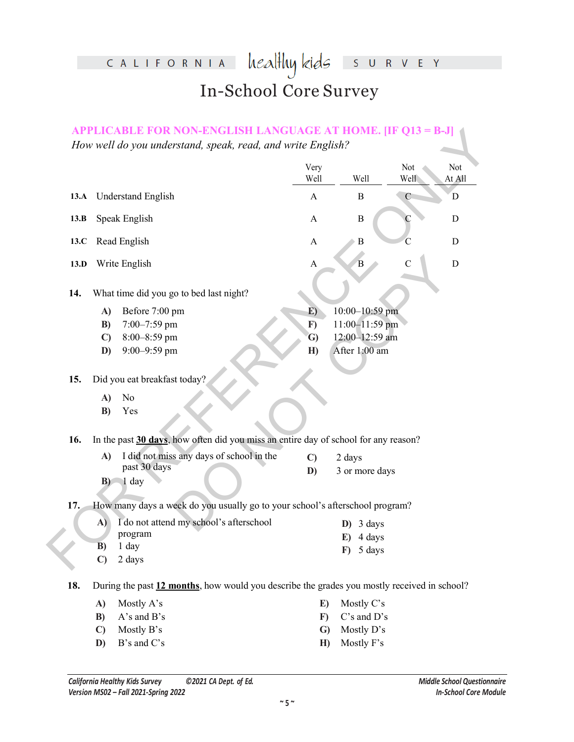# healthykids survey CALIFORNIA In-School Core Survey

|      |                    |                                                                                             | Very<br>Well     | Well               | Not<br>Well   | Not<br>At All |
|------|--------------------|---------------------------------------------------------------------------------------------|------------------|--------------------|---------------|---------------|
| 13.A |                    | <b>Understand English</b>                                                                   | $\mathbf{A}$     | B                  | $\mathcal{C}$ | D             |
| 13.B |                    | Speak English                                                                               | A                | $\, {\bf B}$       |               | $\mathbf D$   |
| 13.C |                    | Read English                                                                                | $\mathbf{A}$     | B                  |               | D             |
| 13.D |                    | Write English                                                                               | $\boldsymbol{A}$ | B                  | С             | $\mathbf D$   |
| 14.  |                    | What time did you go to bed last night?                                                     |                  |                    |               |               |
|      | A)                 | Before 7:00 pm                                                                              | E)               | 10:00-10:59 pm     |               |               |
|      | B)                 | 7:00-7:59 pm                                                                                | $\mathbf{F}$     | 11:00-11:59 pm     |               |               |
|      | $\mathbf{C}$       | 8:00-8:59 pm                                                                                | $\mathbf{G}$     | 12:00-12:59 am     |               |               |
|      | D)                 | 9:00-9:59 pm                                                                                | H)               | After 1:00 am      |               |               |
| 15.  |                    | Did you eat breakfast today?                                                                |                  |                    |               |               |
|      | A)                 | No                                                                                          |                  |                    |               |               |
|      | B)                 | Yes                                                                                         |                  |                    |               |               |
| 16.  |                    | In the past 30 days, how often did you miss an entire day of school for any reason?         |                  |                    |               |               |
|      | A)                 | I did not miss any days of school in the                                                    | $\mathbf{C}$     | 2 days             |               |               |
|      |                    | past 30 days<br>$B$ $1$ day                                                                 | D)               | 3 or more days     |               |               |
| 17.  |                    | How many days a week do you usually go to your school's afterschool program?                |                  |                    |               |               |
|      | A)                 | I do not attend my school's afterschool                                                     |                  | 3 days<br>D)       |               |               |
|      |                    | program                                                                                     |                  | 4 days<br>E)       |               |               |
|      | B)<br>$\mathbf{C}$ | 1 day<br>2 days                                                                             |                  | 5 days<br>$\bf{F}$ |               |               |
|      |                    |                                                                                             |                  |                    |               |               |
|      |                    | During the past 12 months, how would you describe the grades you mostly received in school? |                  |                    |               |               |
|      | A)                 | Mostly A's                                                                                  | E)               | Mostly C's         |               |               |
| 18.  | B)                 | A's and B's                                                                                 | $\bf{F})$        | C's and D's        |               |               |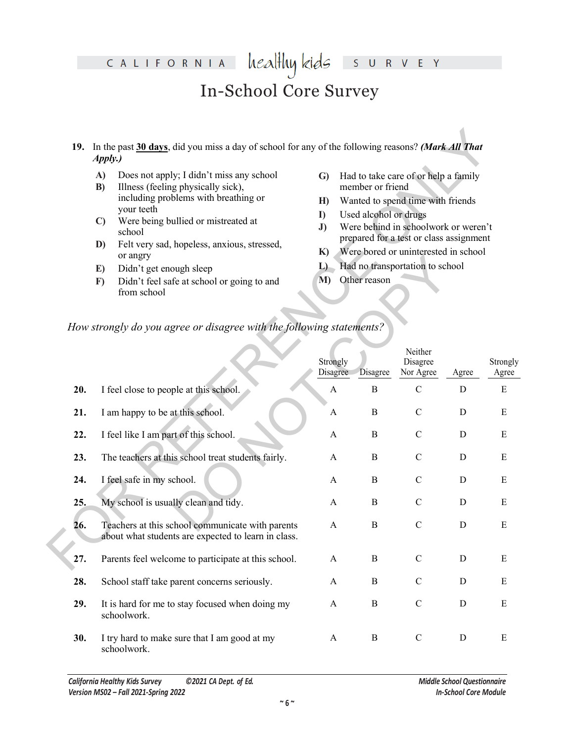#### healthy kids CALIFORNIA E Y  $\overline{\mathsf{S}}$  $\overline{\mathsf{R}}$ V.

# In-School Core Survey

- **19.** In the past **30 days**, did you miss a day of school for any of the following reasons? *(Mark All That Apply.)*
	- **A)** Does not apply; I didn't miss any school
	- **B)** Illness (feeling physically sick), including problems with breathing or your teeth
	- **C)** Were being bullied or mistreated at school
	- **D)** Felt very sad, hopeless, anxious, stressed, or angry
	- **E)** Didn't get enough sleep
	- **F)** Didn't feel safe at school or going to and from school
- **G)** Had to take care of or help a family member or friend
- **H)** Wanted to spend time with friends
- **I)** Used alcohol or drugs
- **J)** Were behind in schoolwork or weren't prepared for a test or class assignment
- **K)** Were bored or uninterested in school
- **L)** Had no transportation to school
- **M)** Other reason

### *How strongly do you agree or disagree with the following statements?*

|     | 19. In the past 30 days, did you miss a day of school for any of the following reasons? (Mark All That<br>Apply.)                                                                                                                                                                                                                                                                                                                                                        |                                                                                                                                                                                                                                                                                                                                                              |              |                                  |             |                   |  |  |
|-----|--------------------------------------------------------------------------------------------------------------------------------------------------------------------------------------------------------------------------------------------------------------------------------------------------------------------------------------------------------------------------------------------------------------------------------------------------------------------------|--------------------------------------------------------------------------------------------------------------------------------------------------------------------------------------------------------------------------------------------------------------------------------------------------------------------------------------------------------------|--------------|----------------------------------|-------------|-------------------|--|--|
|     | Does not apply; I didn't miss any school<br>A)<br>Illness (feeling physically sick),<br>B)<br>including problems with breathing or<br>your teeth<br>Were being bullied or mistreated at<br>$\mathbf{C}$<br>school<br>Felt very sad, hopeless, anxious, stressed,<br>D)<br>or angry<br>Didn't get enough sleep<br>E)<br>Didn't feel safe at school or going to and<br>$\mathbf{F}$<br>from school<br>How strongly do you agree or disagree with the following statements? | Had to take care of or help a family<br>$\mathbf{G}$<br>member or friend<br>Wanted to spend time with friends<br>H<br>Used alcohol or drugs<br>$\bf{I}$<br>Were behind in schoolwork or weren't<br>J)<br>prepared for a test or class assignment<br>Were bored or uninterested in school<br>K)<br>Had no transportation to school<br>L<br>M)<br>Other reason |              |                                  |             |                   |  |  |
|     |                                                                                                                                                                                                                                                                                                                                                                                                                                                                          | Strongly<br>Disagree                                                                                                                                                                                                                                                                                                                                         | Disagree     | Neither<br>Disagree<br>Nor Agree | Agree       | Strongly<br>Agree |  |  |
| 20. | I feel close to people at this school.                                                                                                                                                                                                                                                                                                                                                                                                                                   | A                                                                                                                                                                                                                                                                                                                                                            | $\bf{B}$     | $\mathcal{C}$                    | D           | E                 |  |  |
| 21. | I am happy to be at this school.                                                                                                                                                                                                                                                                                                                                                                                                                                         | A                                                                                                                                                                                                                                                                                                                                                            | $\bf{B}$     | $\mathcal{C}$                    | $\mathbf D$ | E                 |  |  |
| 22. | I feel like I am part of this school.                                                                                                                                                                                                                                                                                                                                                                                                                                    | A                                                                                                                                                                                                                                                                                                                                                            | $\bf{B}$     | $\mathcal{C}$                    | $\mathbf D$ | E                 |  |  |
| 23. | The teachers at this school treat students fairly.                                                                                                                                                                                                                                                                                                                                                                                                                       | A                                                                                                                                                                                                                                                                                                                                                            | $\bf{B}$     | $\mathcal{C}$                    | $\mathbf D$ | E                 |  |  |
| 24. | I feel safe in my school.                                                                                                                                                                                                                                                                                                                                                                                                                                                | A                                                                                                                                                                                                                                                                                                                                                            | $\bf{B}$     | $\mathcal{C}$                    | $\mathbf D$ | E                 |  |  |
| 25. | My school is usually clean and tidy.                                                                                                                                                                                                                                                                                                                                                                                                                                     | A                                                                                                                                                                                                                                                                                                                                                            | $\bf{B}$     | $\mathcal{C}$                    | $\mathbf D$ | E                 |  |  |
| 26. | Teachers at this school communicate with parents<br>about what students are expected to learn in class.                                                                                                                                                                                                                                                                                                                                                                  | A                                                                                                                                                                                                                                                                                                                                                            | $\bf{B}$     | $\mathbf C$                      | D           | E                 |  |  |
| 27. | Parents feel welcome to participate at this school.                                                                                                                                                                                                                                                                                                                                                                                                                      | $\mathbf{A}$                                                                                                                                                                                                                                                                                                                                                 | $\bf{B}$     | ${\bf C}$                        | $\mathbf D$ | E                 |  |  |
| 28. | School staff take parent concerns seriously.                                                                                                                                                                                                                                                                                                                                                                                                                             | A                                                                                                                                                                                                                                                                                                                                                            | $\bf{B}$     | ${\bf C}$                        | $\mathbf D$ | E                 |  |  |
| 29. | It is hard for me to stay focused when doing my<br>schoolwork.                                                                                                                                                                                                                                                                                                                                                                                                           | $\mathbf{A}$                                                                                                                                                                                                                                                                                                                                                 | $\bf{B}$     | ${\bf C}$                        | D           | E                 |  |  |
| 30. | I try hard to make sure that I am good at my<br>schoolwork.                                                                                                                                                                                                                                                                                                                                                                                                              | A                                                                                                                                                                                                                                                                                                                                                            | $\, {\bf B}$ | $\mathbf C$                      | D           | E                 |  |  |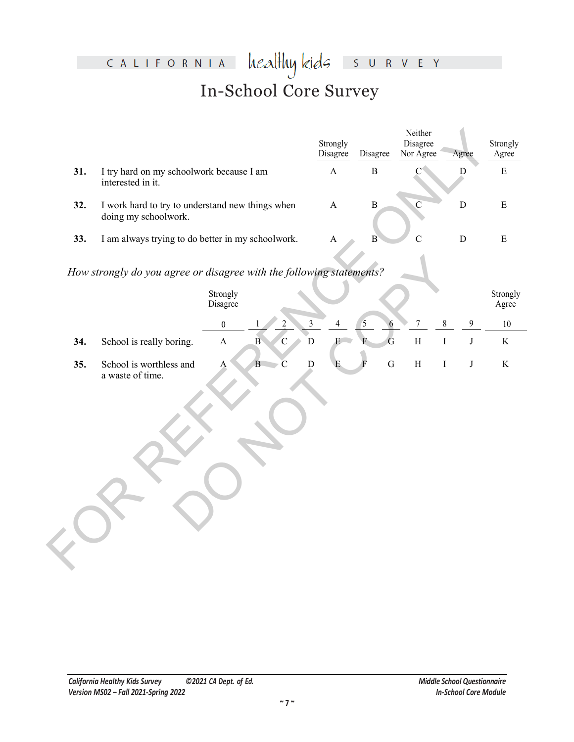# healthykids survey CALIFORNIA In-School Core Survey

|     |                                                                          |                      |                                |                | Strongly<br>Disagree  | Disagree       | Neither<br>Disagree<br>Nor Agree | Agree                     | Strongly<br>Agree |
|-----|--------------------------------------------------------------------------|----------------------|--------------------------------|----------------|-----------------------|----------------|----------------------------------|---------------------------|-------------------|
| 31. | I try hard on my schoolwork because I am<br>interested in it.            |                      |                                |                | $\boldsymbol{\rm{A}}$ | $\, {\bf B}$   | $\mathbf{C}^4$                   | D                         | ${\bf E}$         |
| 32. | I work hard to try to understand new things when<br>doing my schoolwork. |                      |                                |                | $\mathbf{A}$          | $\, {\bf B}$   | $\overline{C}$                   | ${\bf D}$                 | $\mathbf E$       |
| 33. | I am always trying to do better in my schoolwork.                        |                      |                                |                | $\boldsymbol{\rm{A}}$ | B              | $\overline{C}$                   | ${\bf D}$                 | ${\bf E}$         |
|     | How strongly do you agree or disagree with the following statements?     |                      |                                |                |                       |                |                                  |                           |                   |
|     |                                                                          | Strongly<br>Disagree |                                |                |                       |                |                                  |                           | Strongly<br>Agree |
|     |                                                                          | $\boldsymbol{0}$     |                                | $\mathfrak{Z}$ | 4                     | 5<br>6         | $\boldsymbol{7}$                 | $\,8\,$<br>$\overline{9}$ | $10\,$            |
| 34. | School is really boring.                                                 | $\mathbf{A}$         | $\mathbf{B}$<br>$\overline{C}$ | $\bar{D}$      | E                     | $\overline{G}$ | $\, {\rm H}$                     | $\rm I$<br>$\bf J$        | $\rm K$           |
| 35. | School is worthless and<br>a waste of time.                              | $\mathbf{A}$         | B<br>$\overline{C}$            | $\overline{D}$ | E                     | ${\bf G}$<br>F | $\, {\rm H}$                     | $\bf J$<br>$\mathbf I$    | $\rm K$           |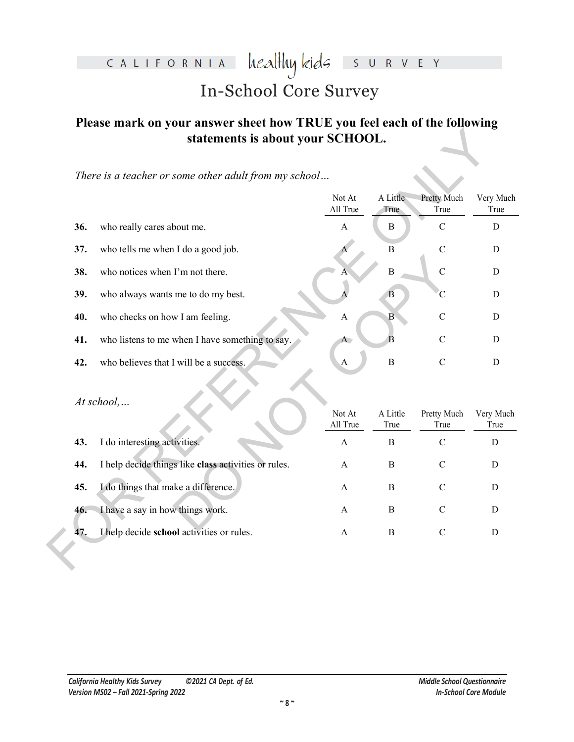#### heal<del>l</del>luy kids CALIFORNIA S U R V E Y

# In-School Core Survey

## **Please mark on your answer sheet how TRUE you feel each of the following statements is about your SCHOOL.**

|     | statements is about your SCHOOL.                      |                           |                  |                     |                   |
|-----|-------------------------------------------------------|---------------------------|------------------|---------------------|-------------------|
|     | There is a teacher or some other adult from my school |                           |                  |                     |                   |
|     |                                                       | Not At<br>All True        | A Little<br>True | Pretty Much<br>True | Very Much<br>True |
| 36. | who really cares about me.                            | $\boldsymbol{\mathsf{A}}$ | $\bf{B}$         | $\mathbf C$         |                   |
| 37. | who tells me when I do a good job.                    |                           | $\bf{B}$         | $\mathbf C$         |                   |
| 38. | who notices when I'm not there.                       |                           | $\boldsymbol{B}$ | $\mathbf C$         |                   |
| 39. | who always wants me to do my best.                    |                           | B                | C                   |                   |
| 40. | who checks on how I am feeling.                       | A                         | $\bf{B}$         | $\mathbf C$         |                   |
| 41. | who listens to me when I have something to say.       | A                         | B                | $\mathbf C$         |                   |
| 42. | who believes that I will be a success.                | A                         | $\, {\bf B}$     | $\mathbf C$         |                   |
|     | At school,                                            | Not At<br>All True        | A Little<br>True | Pretty Much<br>True | Very Much<br>True |
| 43. | I do interesting activities.                          | $\mathbf{A}$              | $\, {\bf B}$     | $\mathbf C$         | ${\bf D}$         |
| 44. | I help decide things like class activities or rules.  | $\mathbf{A}$              | $\, {\bf B}$     | $\mathbf C$         | $\mathbf D$       |
| 45. | I do things that make a difference.                   | A                         | $\, {\bf B}$     | $\mathbf C$         | $\mathbf D$       |
| 46. | I have a say in how things work.                      | A                         | $\bf{B}$         | $\mathcal{C}$       | D                 |
| 47. | I help decide school activities or rules.             | $\boldsymbol{\mathsf{A}}$ | $\, {\bf B}$     | $\mathbf C$         | D                 |
|     |                                                       |                           |                  |                     |                   |

| 38. | who notices when I'm not there.                      |                    | $\, {\bf B}$     | $\mathcal{C}$       | D                 |
|-----|------------------------------------------------------|--------------------|------------------|---------------------|-------------------|
| 39. | who always wants me to do my best.                   |                    | В                | С                   | D                 |
| 40. | who checks on how I am feeling.                      | A                  | $\mathbf{B}$     | $\mathcal{C}$       | D                 |
| 41. | who listens to me when I have something to say.      | A                  | B                | $\mathcal{C}$       | D                 |
| 42. | who believes that I will be a success.               | A                  | $\, {\bf B}$     | $\mathcal{C}$       | D                 |
|     |                                                      |                    |                  |                     |                   |
|     | $At school, \ldots$                                  | Not At<br>All True | A Little<br>True | Pretty Much<br>True | Very Much<br>True |
| 43. | I do interesting activities.                         | A                  | B                | $\mathcal{C}$       | D                 |
| 44. | I help decide things like class activities or rules. | $\mathsf{A}$       | B                | $\mathcal{C}$       | D                 |
| 45. | I do things that make a difference.                  | A                  | B                | $\mathcal{C}$       | D                 |
| 46. | I have a say in how things work.                     | A                  | B                | $\mathcal{C}$       | D                 |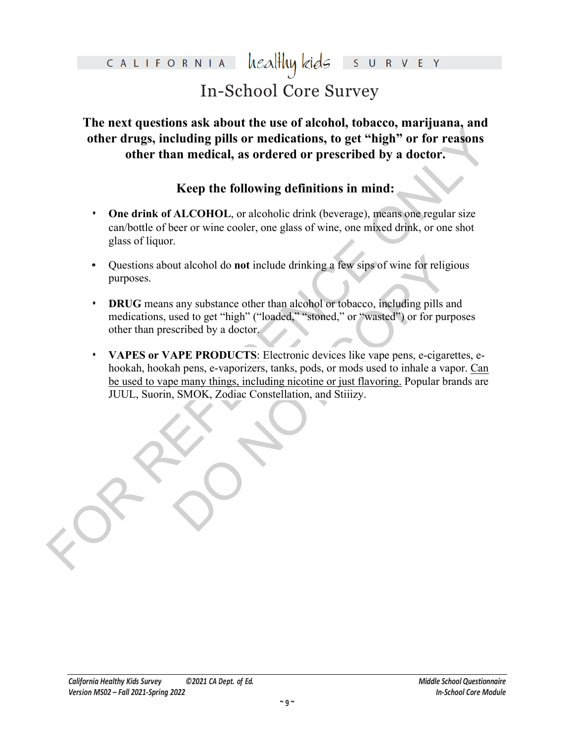## healthy kids CALIFORNIA

# In-School Core Survey

**The next questions ask about the use of alcohol, tobacco, marijuana, and other drugs, including pills or medications, to get "high" or for reasons other than medical, as ordered or prescribed by a doctor.**

# **Keep the following definitions in mind:**

- **One drink of ALCOHOL**, or alcoholic drink (beverage), means one regular size can/bottle of beer or wine cooler, one glass of wine, one mixed drink, or one shot glass of liquor.
- **•** Questions about alcohol do **not** include drinking a few sips of wine for religious purposes.
- **• DRUG** means any substance other than alcohol or tobacco, including pills and medications, used to get "high" ("loaded," "stoned," or "wasted") or for purposes other than prescribed by a doctor.
- other drugs, including pills or medications, to get "high" or for reasons<br>other than medical, as ordered or prescribed by a doctor.<br>Keep the following definitions in mind:<br>One drink of ALCOHOL<sub>2</sub> or alcoholic drink (bevera Internation of include drinking a few sips of wine for religiour any substance other than alcohol or tobacco, including pills and sead to get "high" ("loaded," "stoned," or "wasted") or for purposeribed by a doctor.<br>APE PR **• VAPES or VAPE PRODUCTS**: Electronic devices like vape pens, e-cigarettes, ehookah, hookah pens, e-vaporizers, tanks, pods, or mods used to inhale a vapor. Can be used to vape many things, including nicotine or just flavoring. Popular brands are JUUL, Suorin, SMOK, Zodiac Constellation, and Stiiizy.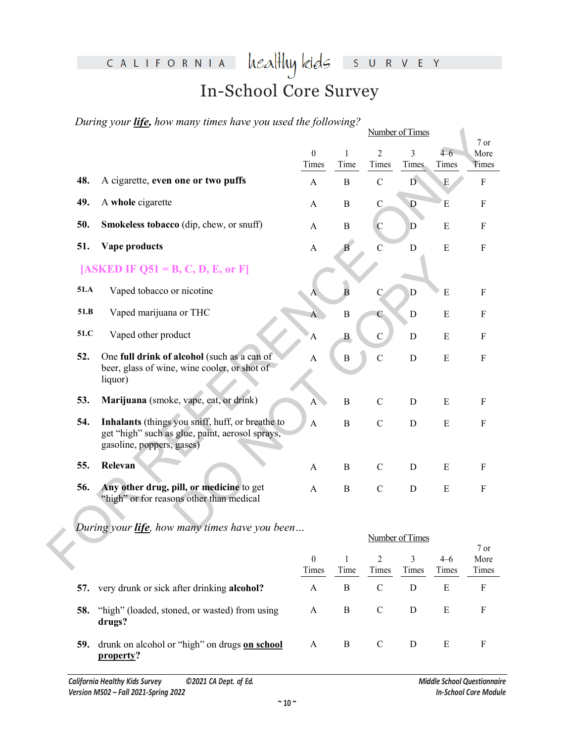## CALIFORNIA  $\text{head}$  kids S U R V E Y

# In-School Core Survey

*During your life, how many times have you used the following?*

|      |                                                                                                                                  |                           |                      |                         | Number of Times |                  |               |
|------|----------------------------------------------------------------------------------------------------------------------------------|---------------------------|----------------------|-------------------------|-----------------|------------------|---------------|
|      |                                                                                                                                  |                           |                      |                         |                 |                  | 7 or          |
|      |                                                                                                                                  | $\boldsymbol{0}$          | 1                    | $\overline{2}$          | 3               | $4 - 6$          | More          |
|      |                                                                                                                                  | Times                     | Time                 | Times                   | Times           | Times            | Times         |
| 48.  | A cigarette, even one or two puffs                                                                                               | $\mathbf{A}$              | $\mathbf B$          | $\mathbf C$             | D.              | $\mathbf E$      | $\mathbf F$   |
| 49.  | A whole cigarette                                                                                                                | $\mathbf{A}$              | $\, {\bf B}$         | $\mathbf C$             | ${\bf D}$       | E                | $\rm F$       |
| 50.  | Smokeless tobacco (dip, chew, or snuff)                                                                                          | $\mathbf{A}$              | $\, {\bf B}$         | $\mathbf C$             | $\mathbf D$     | ${\bf E}$        | $\rm F$       |
| 51.  | Vape products                                                                                                                    | $\boldsymbol{\mathsf{A}}$ | B                    | $\mathbf C$             | $\mathbf D$     | ${\bf E}$        | $\rm F$       |
|      | [ASKED IF Q51 = B, C, D, E, or F]                                                                                                |                           |                      |                         |                 |                  |               |
| 51.A | Vaped tobacco or nicotine                                                                                                        | A                         | $\overline{B}$       | $\mathcal{C}$           | $\mathbf D$     | E                | $\mathbf F$   |
| 51.B | Vaped marijuana or THC                                                                                                           | $\overline{A}$            | $\overline{B}$       | C                       | $\mathbf D$     | ${\bf E}$        | ${\bf F}$     |
| 51.C | Vaped other product                                                                                                              | $\overline{A}$            | $\bf{B}$             | $\overline{C}$          | $\mathbf D$     | ${\bf E}$        | $\mathbf F$   |
| 52.  | One full drink of alcohol (such as a can of<br>beer, glass of wine, wine cooler, or shot of<br>liquor)                           | $\boldsymbol{\mathsf{A}}$ | $\, {\bf B}$         | $\mathbf C$             | ${\bf D}$       | ${\bf E}$        | $\rm F$       |
| 53.  | Marijuana (smoke, vape, eat, or drink)                                                                                           | $\overline{A}$            | $\boldsymbol{B}$     | $\mathbf C$             | D               | ${\bf E}$        | ${\bf F}$     |
| 54.  | Inhalants (things you sniff, huff, or breathe to<br>get "high" such as glue, paint, aerosol sprays,<br>gasoline, poppers, gases) | $\mathbf{A}$              | $\, {\bf B}$         | $\mathbf C$             | ${\bf D}$       | ${\bf E}$        | $\rm F$       |
| 55.  | Relevan                                                                                                                          | $\mathbf{A}$              | $\bf{B}$             | $\mathcal{C}$           | D               | E                | $\mathbf F$   |
| 56.  | Any other drug, pill, or medicine to get<br>"high" or for reasons other than medical                                             | $\mathsf{A}$              | B                    | $\mathbf C$             | $\mathbf D$     | E                | $\rm F$       |
|      | During your <i>life</i> , how many times have you been                                                                           |                           |                      |                         |                 |                  |               |
|      |                                                                                                                                  |                           |                      |                         | Number of Times |                  | 7 or          |
|      |                                                                                                                                  | $\boldsymbol{0}$<br>Timec | $\mathbf{1}$<br>Time | $\overline{2}$<br>Timec | 3<br>Timec      | $4 - 6$<br>Timec | More<br>Timec |

|     |                                                            |                   |      |       | Number of Times |                  |                       |  |  |  |
|-----|------------------------------------------------------------|-------------------|------|-------|-----------------|------------------|-----------------------|--|--|--|
|     |                                                            | $\theta$<br>Times | Time | Times | 3<br>Times      | $4 - 6$<br>Times | 7 or<br>More<br>Times |  |  |  |
| 57. | very drunk or sick after drinking alcohol?                 | A                 | B    | C     | D               | E                | F                     |  |  |  |
| 58. | "high" (loaded, stoned, or wasted) from using<br>drugs?    | A                 | B    |       | D               | Ε                | F                     |  |  |  |
| 59. | drunk on alcohol or "high" on drugs on school<br>property? | A                 | B    |       | D               | Ε                | F                     |  |  |  |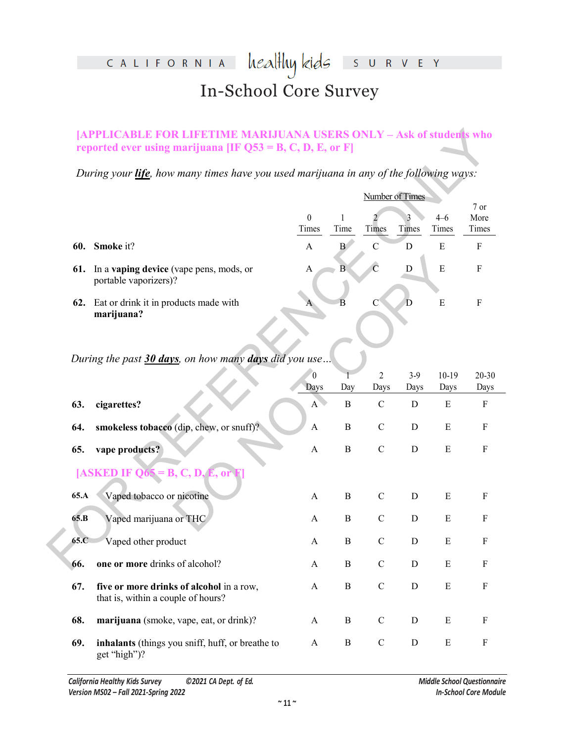### heal<del>l</del>luy kids CALIFORNIA S U R V E Y In-School Core Survey

### **[APPLICABLE FOR LIFETIME MARIJUANA USERS ONLY - Ask of students who reported ever using marijuana [IF Q53 = B, C, D, E, or F]**

|     |                                                                         | Number of Times |      |               |       |         |        |  |
|-----|-------------------------------------------------------------------------|-----------------|------|---------------|-------|---------|--------|--|
|     |                                                                         |                 |      |               |       |         | $7$ or |  |
|     |                                                                         | $\Omega$        |      |               |       | $4 - 6$ | More   |  |
|     |                                                                         | Times           | Time | Times         | Times | Times   | Times  |  |
| 60. | <b>Smoke</b> it?                                                        | А               | В    | $\mathcal{C}$ | D     | Е       | F      |  |
| 61. | In a <b>vaping device</b> (vape pens, mods, or<br>portable vaporizers)? | A               | В    |               | D     | Ε       | F      |  |
|     | 62. Eat or drink it in products made with<br>marijuana?                 |                 |      | C             | D     | E       |        |  |

*During the past 30 days, on how many days did you use…*

|      | [APPLICABLE FOR LIFETIME MARIJUANA USERS ONLY – Ask of students who<br>reported ever using marijuana [IF $Q53 = B, C, D, E,$ or F] |                      |                 |                     |                     |                   |                           |
|------|------------------------------------------------------------------------------------------------------------------------------------|----------------------|-----------------|---------------------|---------------------|-------------------|---------------------------|
|      | During your <i>life</i> , how many times have you used marijuana in any of the following ways:                                     |                      |                 |                     |                     |                   |                           |
|      |                                                                                                                                    |                      |                 |                     | Number of Times     |                   |                           |
|      |                                                                                                                                    | $\theta$<br>Times    | Time            | Times               | Times               | $4 - 6$<br>Times  | 7 or<br>More<br>Times     |
| 60.  | Smoke it?                                                                                                                          | $\mathbf{A}$         | $\bf{B}$        | $\mathcal{C}$       | D                   | ${\bf E}$         | $\mathbf F$               |
| 61.  | In a vaping device (vape pens, mods, or<br>portable vaporizers)?                                                                   | $\mathbf{A}$         | $\overline{B}$  | $\overline{C}$      | $\mathbf D$         | $\overline{E}$    | $\rm F$                   |
| 62.  | Eat or drink it in products made with<br>marijuana?                                                                                | A                    | $\overline{B}$  | C                   | D                   | ${\bf E}$         | $\mathbf F$               |
|      | During the past 30 days, on how many days did you use                                                                              | $\boldsymbol{0}$     |                 | $\mathfrak{D}$      | $3-9$               | $10-19$           | 20-30                     |
| 63.  | cigarettes?                                                                                                                        | Days<br>$\mathbf{A}$ | Day<br>$\bf{B}$ | Days<br>$\mathbf C$ | Days<br>$\mathbf D$ | Days<br>${\bf E}$ | Days<br>${\bf F}$         |
| 64.  | smokeless tobacco (dip, chew, or snuff)?                                                                                           | $\mathbf{A}$         | $\bf{B}$        | $\mathcal{C}$       | D                   | $\mathbf E$       | $\boldsymbol{\mathrm{F}}$ |
| 65.  | vape products?                                                                                                                     | $\mathbf{A}$         | $\bf{B}$        | $\mathbf C$         | D                   | $\mathbf E$       | $\boldsymbol{\mathrm{F}}$ |
|      | [ASKED IF $Q65 = B, C, D, E, o$ ]                                                                                                  |                      |                 |                     |                     |                   |                           |
| 65.A | Vaped tobacco or nicotine                                                                                                          | A                    | B               | $\mathsf C$         | D                   | Ε                 | F                         |
| 65.B | Vaped marijuana or THC                                                                                                             | A                    | $\, {\bf B}$    | $\mathbf C$         | $\mathbf D$         | E                 | $\boldsymbol{\mathrm{F}}$ |
| 65.C | Vaped other product                                                                                                                | A                    | B               | $\mathbf C$         | D                   | $\mathbf E$       | $\boldsymbol{\mathrm{F}}$ |
| 66.  | one or more drinks of alcohol?                                                                                                     | A                    | B               | $\mathcal{C}$       | D                   | $\mathbf E$       | $\boldsymbol{\mathrm{F}}$ |
| 67.  | five or more drinks of alcohol in a row,<br>that is, within a couple of hours?                                                     | $\mathbf{A}$         | $\bf{B}$        | $\mathbf C$         | ${\bf D}$           | ${\bf E}$         | $\mathbf F$               |
| 68.  | marijuana (smoke, vape, eat, or drink)?                                                                                            | A                    | B               | $\mathsf{C}$        | D                   | E                 | $\boldsymbol{\mathrm{F}}$ |
| 69.  | inhalants (things you sniff, huff, or breathe to<br>get "high")?                                                                   | A                    | $\bf{B}$        | $\mathcal{C}$       | $\mathbf D$         | E                 | $\boldsymbol{\mathrm{F}}$ |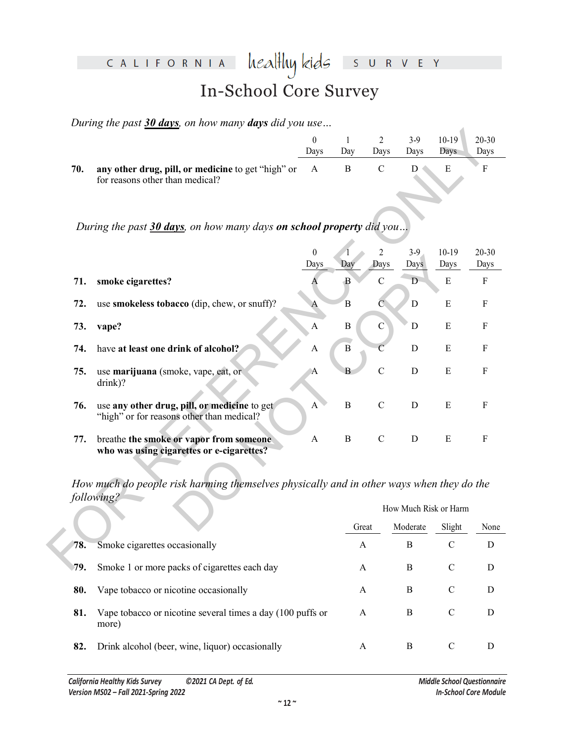#### heal<del>l</del>luy kids CALIFORNIA R V E Y  $\mathsf{S}$ U In-School Core Survey

*During the past 30 days, on how many days did you use…*

|                                                                                                        |      |     | 2    | 3-9  | $10-19$ | 20-30 |
|--------------------------------------------------------------------------------------------------------|------|-----|------|------|---------|-------|
|                                                                                                        | Davs | Dav | Davs | Davs | Davs    | Davs  |
| <b>70.</b> any other drug, pill, or medicine to get "high" or A B C<br>for reasons other than medical? |      |     |      |      |         |       |

|     |                                                                                                        | $\boldsymbol{0}$<br>Days | $\mathbf{1}$<br>Day     | 2<br>Days              | $3-9$<br>Days         | $10-19$<br>Days | 20-30<br>Days |
|-----|--------------------------------------------------------------------------------------------------------|--------------------------|-------------------------|------------------------|-----------------------|-----------------|---------------|
| 70. | any other drug, pill, or medicine to get "high" or<br>for reasons other than medical?                  | $\mathbf{A}$             | $\bf{B}$                | $\mathbf C$            | D                     | ${\bf E}$       | F             |
|     | During the past 30 days, on how many days on school property did you                                   |                          |                         |                        |                       |                 |               |
|     |                                                                                                        | $\boldsymbol{0}$<br>Days | Day                     | $\overline{2}$<br>Days | $3-9$<br>Days         | $10-19$<br>Days | 20-30<br>Days |
| 71. | smoke cigarettes?                                                                                      | A                        | $\mathbf{B}$            | $\mathcal{C}$          | $\mathbf D$           | ${\bf E}$       | $\mathbf F$   |
| 72. | use smokeless tobacco (dip, chew, or snuff)?                                                           | $\mathbf{A}$             | $\overline{B}$          | $\overline{C}$         | $\mathbf D$           | ${\bf E}$       | ${\bf F}$     |
| 73. | vape?                                                                                                  | $\mathbf{A}$             | $\bf{B}$                | $\mathbf{C}$           | $\mathbf D$           | ${\bf E}$       | ${\bf F}$     |
| 74. | have at least one drink of alcohol?                                                                    | A                        | $\overline{\mathbf{B}}$ | $\mathcal{C}$          | D                     | E               | ${\bf F}$     |
| 75. | use marijuana (smoke, vape, eat, or<br>drink)?                                                         | A                        | В                       | $\overline{C}$         | D                     | E               | $\mathbf F$   |
| 76. | use any other drug, pill, or medicine to get<br>"high" or for reasons other than medical?              | A                        | $\, {\bf B}$            | $\mathcal{C}$          | $\mathbf D$           | ${\bf E}$       | $\mathbf F$   |
| 77. | breathe the smoke or vapor from someone<br>who was using cigarettes or e-cigarettes?                   | $\mathbf{A}$             | $\, {\bf B}$            | $\mathbf C$            | ${\bf D}$             | ${\bf E}$       | ${\bf F}$     |
|     | How much do people risk harming themselves physically and in other ways when they do the<br>following? |                          |                         |                        |                       |                 |               |
|     |                                                                                                        |                          |                         |                        | How Much Risk or Harm |                 |               |
|     |                                                                                                        |                          | Great                   |                        | Moderate              | Slight          | None          |
| 78. | Smoke cigarettes occasionally                                                                          |                          | A                       |                        | B                     | $\mathbf C$     | D             |
| 79. | Smoke 1 or more packs of cigarettes each day                                                           |                          | A                       |                        | B                     | $\mathcal{C}$   | D             |

|     |                                                                     |       | How Much Risk or Harm |        |      |  |  |  |  |
|-----|---------------------------------------------------------------------|-------|-----------------------|--------|------|--|--|--|--|
|     |                                                                     | Great | Moderate              | Slight | None |  |  |  |  |
| 78. | Smoke cigarettes occasionally                                       | A     | В                     | C      | D    |  |  |  |  |
| 79. | Smoke 1 or more packs of cigarettes each day                        | A     | В                     | C      | D    |  |  |  |  |
| 80. | Vape tobacco or nicotine occasionally                               | A     | B                     | C      | D    |  |  |  |  |
| 81. | Vape tobacco or nicotine several times a day (100 puffs or<br>more) | A     | В                     | C      | D    |  |  |  |  |
| 82. | Drink alcohol (beer, wine, liquor) occasionally                     | A     | B                     | C      | D    |  |  |  |  |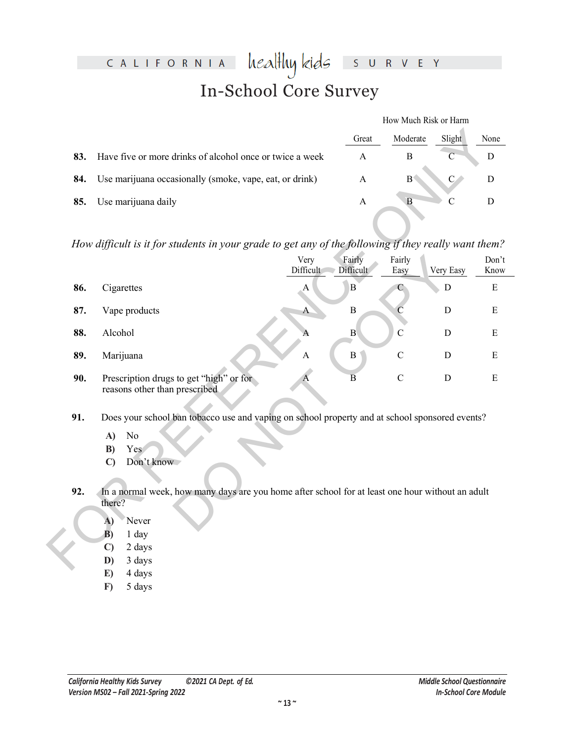#### heal<del>l</del>luy kids CALIFORNIA R V E Y  $\mathsf{S}$  $\cup$ In-School Core Survey

|     |                                                          | How Much Risk or Harm |                |        |      |
|-----|----------------------------------------------------------|-----------------------|----------------|--------|------|
|     |                                                          | Great                 | Moderate       | Slight | None |
| 83. | Have five or more drinks of alcohol once or twice a week | А                     |                |        |      |
| 84. | Use marijuana occasionally (smoke, vape, eat, or drink)  | A                     | B <sub>1</sub> |        |      |
| 85. | Use marijuana daily                                      |                       |                |        |      |

*How difficult is it for students in your grade to get any of the following if they really want them?*

|     |                                                                                                                                                                                                |                   | Great               | Moderate             | Slight         | None          |
|-----|------------------------------------------------------------------------------------------------------------------------------------------------------------------------------------------------|-------------------|---------------------|----------------------|----------------|---------------|
| 83. | Have five or more drinks of alcohol once or twice a week                                                                                                                                       |                   | $\mathbf{A}$        | $\, {\bf B}$         | $\overline{C}$ | $\mathbf D$   |
| 84. | Use marijuana occasionally (smoke, vape, eat, or drink)                                                                                                                                        |                   | $\mathbf{A}$        | $\mathbf{B}^{\circ}$ | $\mathbf{C}$   | $\mathbf D$   |
| 85. | Use marijuana daily                                                                                                                                                                            |                   | $\boldsymbol{A}$    | $\, {\bf B}$         | $\mathcal{C}$  | $\mathbf D$   |
|     |                                                                                                                                                                                                |                   |                     |                      |                |               |
|     | How difficult is it for students in your grade to get any of the following if they really want them?                                                                                           |                   |                     |                      |                |               |
|     |                                                                                                                                                                                                | Very<br>Difficult | Fairly<br>Difficult | Fairly<br>Easy       | Very Easy      | Don't<br>Know |
| 86. | Cigarettes                                                                                                                                                                                     | A                 | $\, {\bf B}$        | C                    | D              | E             |
| 87. | Vape products                                                                                                                                                                                  | $\mathbf{A}$      | $\boldsymbol{B}$    | $\mathcal{C}$        | $\mathbf D$    | E             |
| 88. | Alcohol                                                                                                                                                                                        | A                 | $\bf{B}$            | $\mathcal{C}$        | $\mathbf D$    | ${\bf E}$     |
| 89. | Marijuana                                                                                                                                                                                      | $\mathbf{A}$      | $\, {\bf B}$        | $\mathcal{C}$        | D              | E             |
| 90. | Prescription drugs to get "high" or for<br>reasons other than prescribed                                                                                                                       | A                 | $\overline{B}$      | $\mathcal{C}$        | D              | E             |
| 91. | Does your school ban tobacco use and vaping on school property and at school sponsored events?<br>No<br>A)<br>B)<br>Yes<br>Don't know<br>$\mathbf{C}$                                          |                   |                     |                      |                |               |
| 92. | In a normal week, how many days are you home after school for at least one hour without an adult<br>there?<br>Never<br>A)<br>$\overline{B}$<br>1 day<br>$\mathbf{C}$<br>2 days<br>3 days<br>D) |                   |                     |                      |                |               |
|     |                                                                                                                                                                                                |                   |                     |                      |                |               |

- **91.** Does your school ban tobacco use and vaping on school property and at school sponsored events?
	- **A)** No
	- **B)** Yes
	- **C)** Don't know
- **92.** In a normal week, how many days are you home after school for at least one hour without an adult there?
	- **A)** Never
	- **B)** 1 day
	- **C)** 2 days
	- **D)** 3 days
	- **E)** 4 days
	- **F)** 5 days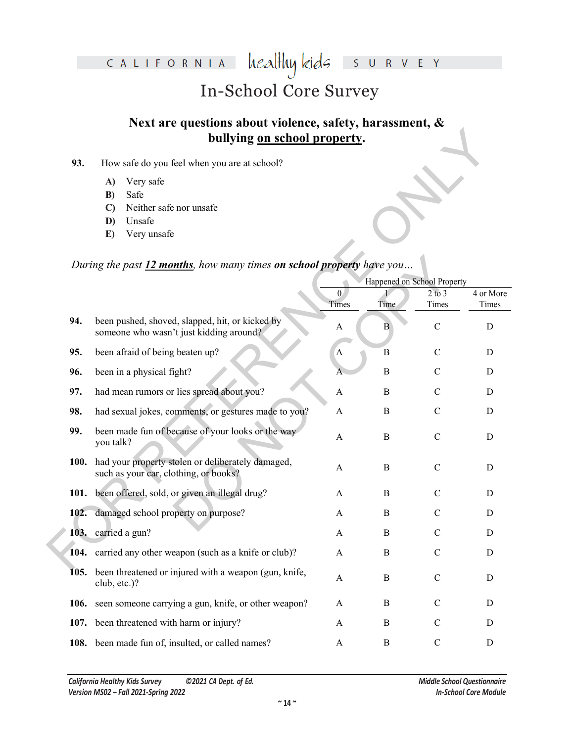#### heal<del>l</del>luy kids CALIFORNIA S U R V E Y

# In-School Core Survey

# **Next are questions about violence, safety, harassment, & bullying on school property.**

- **93.** How safe do you feel when you are at school?
	- **A)** Very safe
	- **B)** Safe
	- **C)** Neither safe nor unsafe
	- **D)** Unsafe
	- **E)** Very unsafe

## *During the past 12 months, how many times on school property have you…*

|             | bullying on school property.                                                                                  |                       |                             |                     |                    |  |
|-------------|---------------------------------------------------------------------------------------------------------------|-----------------------|-----------------------------|---------------------|--------------------|--|
| 93.         | How safe do you feel when you are at school?                                                                  |                       |                             |                     |                    |  |
|             | Very safe<br>A)<br>Safe<br>B)<br>Neither safe nor unsafe<br>$\mathbf{C}$<br>Unsafe<br>D)<br>Very unsafe<br>E) |                       |                             |                     |                    |  |
|             | During the past 12 months, how many times on school property have you                                         |                       |                             |                     |                    |  |
|             |                                                                                                               |                       | Happened on School Property |                     |                    |  |
|             |                                                                                                               | $\theta$<br>Times     | Time                        | $2$ to $3$<br>Times | 4 or More<br>Times |  |
| 94.         | been pushed, shoved, slapped, hit, or kicked by<br>someone who wasn't just kidding around?                    | A                     | B                           | $\mathcal{C}$       | D                  |  |
| 95.         | been afraid of being beaten up?                                                                               | $\mathbf{A}$          | B                           | $\mathcal{C}$       | D                  |  |
| 96.         | been in a physical fight?                                                                                     |                       | $\boldsymbol{B}$            | $\mathcal{C}$       | D                  |  |
| 97.         | had mean rumors or lies spread about you?                                                                     | A                     | $\boldsymbol{B}$            | $\mathcal{C}$       | $\mathbf D$        |  |
| 98.         | had sexual jokes, comments, or gestures made to you?                                                          | A                     | B                           | $\mathcal{C}$       | D                  |  |
| 99.         | been made fun of because of your looks or the way<br>you talk?                                                | A                     | B                           | $\mathcal{C}$       | D                  |  |
| <b>100.</b> | had your property stolen or deliberately damaged,<br>such as your car, clothing, or books?                    | A                     | $\bf{B}$                    | $\mathcal{C}$       | D                  |  |
|             | 101. been offered, sold, or given an illegal drug?                                                            | A                     | B                           | $\mathcal{C}$       | D                  |  |
| 102.        | damaged school property on purpose?                                                                           | A                     | B                           | $\mathcal{C}$       | D                  |  |
|             | 103. carried a gun?                                                                                           | A                     | $\boldsymbol{B}$            | $\mathcal{C}$       | D                  |  |
|             | 104. carried any other weapon (such as a knife or club)?                                                      | $\boldsymbol{\rm{A}}$ | $\boldsymbol{B}$            | $\mathcal{C}$       | $\mathbf D$        |  |
| 105.        | been threatened or injured with a weapon (gun, knife,<br>club, etc.)?                                         | $\mathbf{A}$          | $\bf{B}$                    | $\mathbf C$         | D                  |  |
| 106.        | seen someone carrying a gun, knife, or other weapon?                                                          | A                     | B                           | C                   | D                  |  |
|             | 107. been threatened with harm or injury?                                                                     | A                     | $\bf{B}$                    | $\mathbf C$         | D                  |  |
|             | 108. been made fun of, insulted, or called names?                                                             | A                     | B                           | $\mathbf C$         | D                  |  |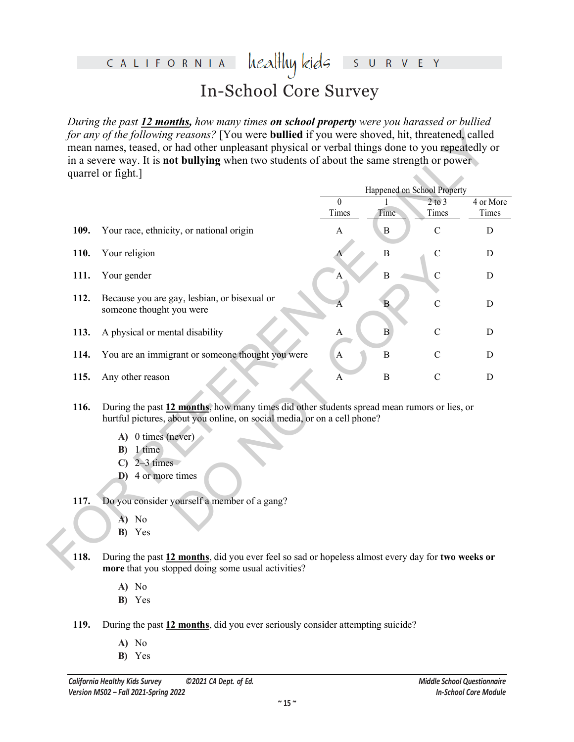### healthy kids CALIFORNIA R V E Y  $S$ In-School Core Survey

*During the past 12 months, how many times on school property were you harassed or bullied for any of the following reasons?* [You were **bullied** if you were shoved, hit, threatened, called mean names, teased, or had other unpleasant physical or verbal things done to you repeatedly or in a severe way. It is **not bullying** when two students of about the same strength or power quarrel or fight.]

|      |                                                                                                                                                                         |                   |                  | Happened on School Property |                    |
|------|-------------------------------------------------------------------------------------------------------------------------------------------------------------------------|-------------------|------------------|-----------------------------|--------------------|
|      |                                                                                                                                                                         | $\theta$<br>Times | Time             | $2$ to $3$<br>Times         | 4 or More<br>Times |
| 109. | Your race, ethnicity, or national origin                                                                                                                                | A                 | $\boldsymbol{B}$ | $\mathcal{C}$               | D                  |
| 110. | Your religion                                                                                                                                                           |                   | $\overline{B}$   | $\mathcal{C}$               | $\mathbf D$        |
| 111. | Your gender                                                                                                                                                             | А                 | $\overline{B}$   | $\mathbf C$                 | $\mathbf D$        |
| 112. | Because you are gay, lesbian, or bisexual or<br>someone thought you were                                                                                                | A                 | B                | $\mathcal{C}$               | D                  |
| 113. | A physical or mental disability                                                                                                                                         | A                 | $\, {\bf B}$     | $\mathcal{C}$               | D                  |
| 114. | You are an immigrant or someone thought you were                                                                                                                        | $\mathbf{A}$      | B                | $\mathcal{C}$               | D                  |
| 115. | Any other reason                                                                                                                                                        | A                 | $\, {\bf B}$     | $\mathbf C$                 | D                  |
| 116. | During the past 12 months, how many times did other students spread mean rumors or lies, or<br>hurtful pictures, about you online, on social media, or on a cell phone? |                   |                  |                             |                    |
|      | A) 0 times (never)                                                                                                                                                      |                   |                  |                             |                    |
|      | 1 time<br>B)                                                                                                                                                            |                   |                  |                             |                    |
|      | $2-3$ times<br>$\mathbf{C}$                                                                                                                                             |                   |                  |                             |                    |
|      | D) 4 or more times                                                                                                                                                      |                   |                  |                             |                    |
| 117. | Do you consider yourself a member of a gang?                                                                                                                            |                   |                  |                             |                    |
|      | No<br>A)                                                                                                                                                                |                   |                  |                             |                    |
|      | B) Yes                                                                                                                                                                  |                   |                  |                             |                    |

- **116.** During the past **12 months**, how many times did other students spread mean rumors or lies, or hurtful pictures, about you online, on social media, or on a cell phone?
	- **A)** 0 times (never)
	- **B)** 1 time
	- **C)** 2–3 times
	- **D)** 4 or more times

### **117.** Do you consider yourself a member of a gang?

- **A)** No
- **B)** Yes
- **118.** During the past **12 months**, did you ever feel so sad or hopeless almost every day for **two weeks or more** that you stopped doing some usual activities?
	- **A)** No
	- **B)** Yes
- **119.** During the past **12 months**, did you ever seriously consider attempting suicide?
	- **A)** No
	- **B)** Yes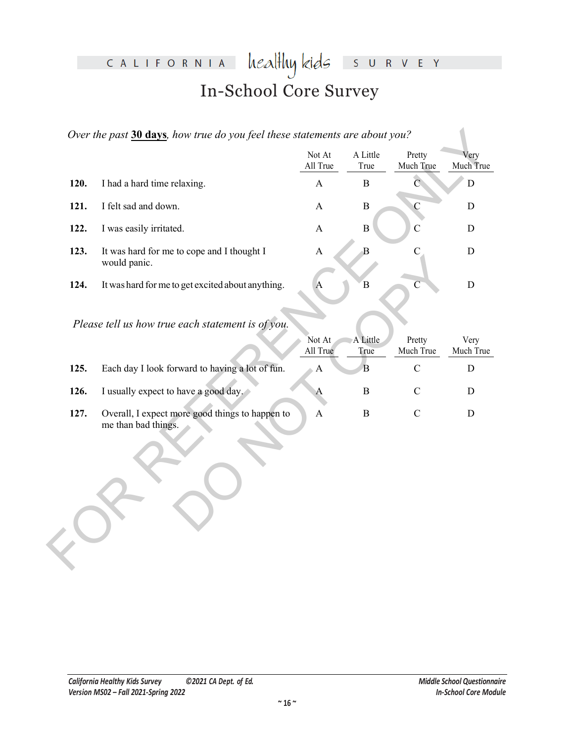## heal<del>l</del>luy kids CALIFORNIA S U R V E Y In-School Core Survey

|      |                                                                        | Not At<br>All True        | A Little<br>True | Pretty<br>Much True | Very<br>Much True |
|------|------------------------------------------------------------------------|---------------------------|------------------|---------------------|-------------------|
| 120. | I had a hard time relaxing.                                            | $\boldsymbol{\mathrm{A}}$ | $\, {\bf B}$     | $\overline{C}$      | ${\bf D}$         |
| 121. | I felt sad and down.                                                   | $\mathbf{A}$              | $\, {\bf B}$     | $\mathbf C$         | ${\bf D}$         |
| 122. | I was easily irritated.                                                | $\mathbf{A}$              | $\, {\bf B}$     | $\overline{C}$      | $\mathbf D$       |
| 123. | It was hard for me to cope and I thought I<br>would panic.             | $\boldsymbol{\rm{A}}$     | $\mathbf B$      | $\mathbf C$         | ${\bf D}$         |
| 124. | It was hard for me to get excited about anything.                      | $\mathbf{A}$              | B                | $\overline{C}$      | ${\bf D}$         |
|      | Please tell us how true each statement is of you.                      | Not At<br>All True        | A Little<br>True | Pretty<br>Much True | Very<br>Much True |
| 125. | Each day I look forward to having a lot of fun.                        | $\mathbf{A}$              | $\, {\bf B}$     | $\mathbf C$         | ${\bf D}$         |
| 126. | I usually expect to have a good day.                                   | $\mathsf{A}$              | $\boldsymbol{B}$ | ${\bf C}$           | D                 |
| 127. | Overall, I expect more good things to happen to<br>me than bad things. | $\mathbf{A}$              | $\, {\bf B}$     | ${\bf C}$           | $\mathbf D$       |
|      |                                                                        |                           |                  |                     |                   |

|      | --- -- -<br>would panic.                                               |                    |                  |                     |                   |
|------|------------------------------------------------------------------------|--------------------|------------------|---------------------|-------------------|
| 124. | It was hard for me to get excited about anything.                      | A                  | $\overline{B}$   | $\overline{C}$      | D                 |
|      | Please tell us how true each statement is of you.                      |                    |                  |                     |                   |
|      |                                                                        | Not At<br>All True | A Little<br>True | Pretty<br>Much True | Very<br>Much True |
| 125. | Each day I look forward to having a lot of fun.                        | $\mathbf{A}$       | B                | $\mathcal{C}$       | D                 |
| 126. | I usually expect to have a good day.                                   | A                  | $\boldsymbol{B}$ | $\mathcal{C}$       | D                 |
| 127. | Overall, I expect more good things to happen to<br>me than bad things. | $\mathbf{A}$       | $\boldsymbol{B}$ | $\mathcal{C}$       | D                 |